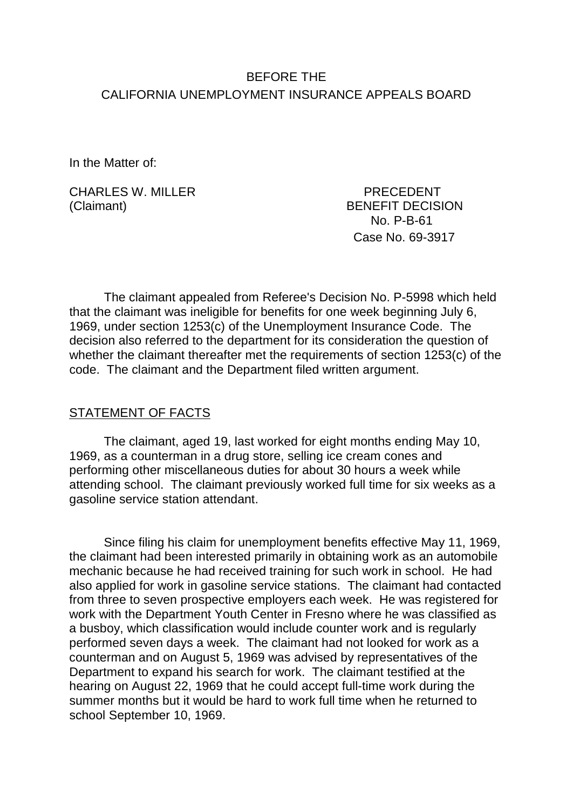# BEFORE THE CALIFORNIA UNEMPLOYMENT INSURANCE APPEALS BOARD

In the Matter of:

CHARLES W. MILLER PRECEDENT (Claimant) BENEFIT DECISION

 No. P-B-61 Case No. 69-3917

The claimant appealed from Referee's Decision No. P-5998 which held that the claimant was ineligible for benefits for one week beginning July 6, 1969, under section 1253(c) of the Unemployment Insurance Code. The decision also referred to the department for its consideration the question of whether the claimant thereafter met the requirements of section 1253(c) of the code. The claimant and the Department filed written argument.

## STATEMENT OF FACTS

The claimant, aged 19, last worked for eight months ending May 10, 1969, as a counterman in a drug store, selling ice cream cones and performing other miscellaneous duties for about 30 hours a week while attending school. The claimant previously worked full time for six weeks as a gasoline service station attendant.

Since filing his claim for unemployment benefits effective May 11, 1969, the claimant had been interested primarily in obtaining work as an automobile mechanic because he had received training for such work in school. He had also applied for work in gasoline service stations. The claimant had contacted from three to seven prospective employers each week. He was registered for work with the Department Youth Center in Fresno where he was classified as a busboy, which classification would include counter work and is regularly performed seven days a week. The claimant had not looked for work as a counterman and on August 5, 1969 was advised by representatives of the Department to expand his search for work. The claimant testified at the hearing on August 22, 1969 that he could accept full-time work during the summer months but it would be hard to work full time when he returned to school September 10, 1969.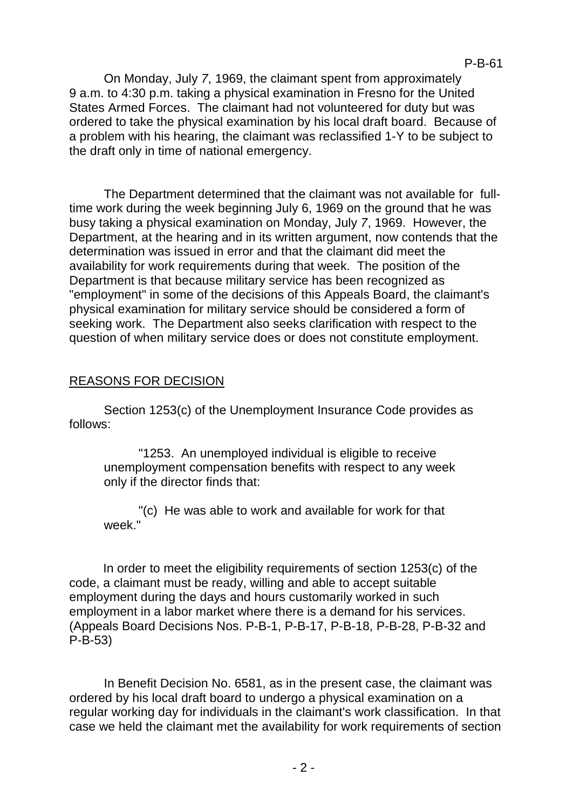On Monday, July *7*, 1969, the claimant spent from approximately 9 a.m. to 4:30 p.m. taking a physical examination in Fresno for the United States Armed Forces. The claimant had not volunteered for duty but was ordered to take the physical examination by his local draft board. Because of a problem with his hearing, the claimant was reclassified 1-Y to be subject to the draft only in time of national emergency.

The Department determined that the claimant was not available for fulltime work during the week beginning July 6, 1969 on the ground that he was busy taking a physical examination on Monday, July *7*, 1969. However, the Department, at the hearing and in its written argument, now contends that the determination was issued in error and that the claimant did meet the availability for work requirements during that week. The position of the Department is that because military service has been recognized as "employment" in some of the decisions of this Appeals Board, the claimant's physical examination for military service should be considered a form of seeking work. The Department also seeks clarification with respect to the question of when military service does or does not constitute employment.

## REASONS FOR DECISION

Section 1253(c) of the Unemployment Insurance Code provides as follows:

"1253. An unemployed individual is eligible to receive unemployment compensation benefits with respect to any week only if the director finds that:

"(c) He was able to work and available for work for that week<sup>"</sup>

In order to meet the eligibility requirements of section 1253(c) of the code, a claimant must be ready, willing and able to accept suitable employment during the days and hours customarily worked in such employment in a labor market where there is a demand for his services. (Appeals Board Decisions Nos. P-B-1, P-B-17, P-B-18, P-B-28, P-B-32 and P-B-53)

In Benefit Decision No. 6581, as in the present case, the claimant was ordered by his local draft board to undergo a physical examination on a regular working day for individuals in the claimant's work classification. In that case we held the claimant met the availability for work requirements of section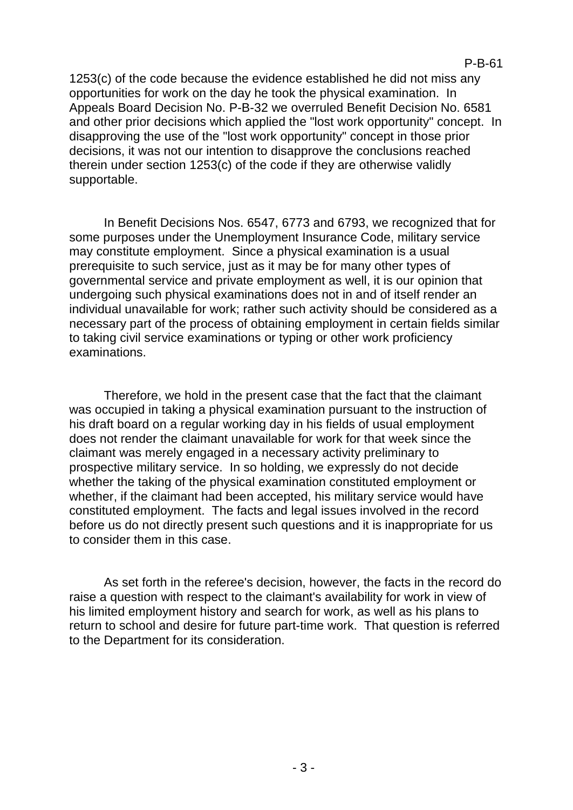1253(c) of the code because the evidence established he did not miss any opportunities for work on the day he took the physical examination. In Appeals Board Decision No. P-B-32 we overruled Benefit Decision No. 6581 and other prior decisions which applied the "lost work opportunity" concept. In disapproving the use of the "lost work opportunity" concept in those prior decisions, it was not our intention to disapprove the conclusions reached therein under section 1253(c) of the code if they are otherwise validly supportable.

In Benefit Decisions Nos. 6547, 6773 and 6793, we recognized that for some purposes under the Unemployment Insurance Code, military service may constitute employment. Since a physical examination is a usual prerequisite to such service, just as it may be for many other types of governmental service and private employment as well, it is our opinion that undergoing such physical examinations does not in and of itself render an individual unavailable for work; rather such activity should be considered as a necessary part of the process of obtaining employment in certain fields similar to taking civil service examinations or typing or other work proficiency examinations.

Therefore, we hold in the present case that the fact that the claimant was occupied in taking a physical examination pursuant to the instruction of his draft board on a regular working day in his fields of usual employment does not render the claimant unavailable for work for that week since the claimant was merely engaged in a necessary activity preliminary to prospective military service. In so holding, we expressly do not decide whether the taking of the physical examination constituted employment or whether, if the claimant had been accepted, his military service would have constituted employment. The facts and legal issues involved in the record before us do not directly present such questions and it is inappropriate for us to consider them in this case.

As set forth in the referee's decision, however, the facts in the record do raise a question with respect to the claimant's availability for work in view of his limited employment history and search for work, as well as his plans to return to school and desire for future part-time work. That question is referred to the Department for its consideration.